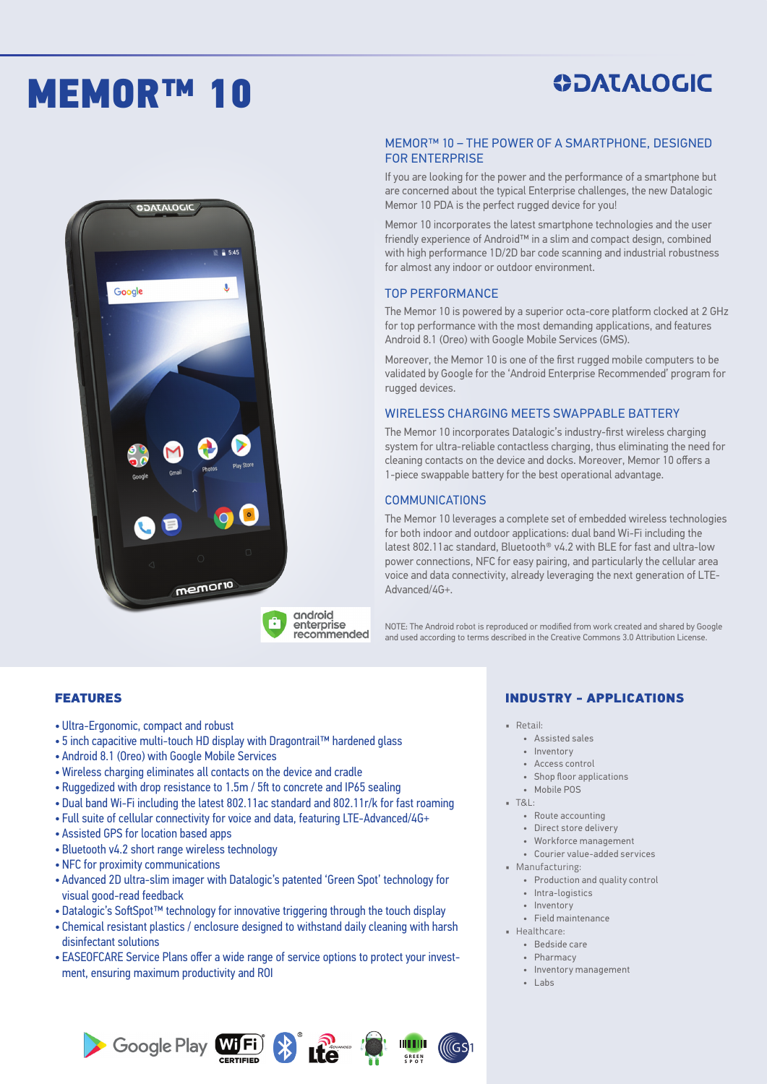# MEMOR™ 10

# **SOATALOGIC**  $\overline{8}$  = 5:45  $\overline{\mathbf{J}}$ Google memorio

#### enterprise recommended

android

# **ODATALOGIC**

#### MEMOR™ 10 – THE POWER OF A SMARTPHONE, DESIGNED FOR ENTERPRISE

If you are looking for the power and the performance of a smartphone but are concerned about the typical Enterprise challenges, the new Datalogic Memor 10 PDA is the perfect rugged device for you!

Memor 10 incorporates the latest smartphone technologies and the user friendly experience of Android™ in a slim and compact design, combined with high performance 1D/2D bar code scanning and industrial robustness for almost any indoor or outdoor environment.

#### TOP PERFORMANCE

The Memor 10 is powered by a superior octa-core platform clocked at 2 GHz for top performance with the most demanding applications, and features Android 8.1 (Oreo) with Google Mobile Services (GMS).

Moreover, the Memor 10 is one of the first rugged mobile computers to be validated by Google for the 'Android Enterprise Recommended' program for rugged devices.

#### WIRELESS CHARGING MEETS SWAPPABLE BATTERY

The Memor 10 incorporates Datalogic's industry-first wireless charging system for ultra-reliable contactless charging, thus eliminating the need for cleaning contacts on the device and docks. Moreover, Memor 10 offers a 1-piece swappable battery for the best operational advantage.

#### **COMMUNICATIONS**

The Memor 10 leverages a complete set of embedded wireless technologies for both indoor and outdoor applications: dual band Wi-Fi including the latest 802.11ac standard, Bluetooth® v4.2 with BLE for fast and ultra-low power connections, NFC for easy pairing, and particularly the cellular area voice and data connectivity, already leveraging the next generation of LTE-Advanced/4G+.

NOTE: The Android robot is reproduced or modified from work created and shared by Google and used according to terms described in the Creative Commons 3.0 Attribution License.

#### FEATURES

- Ultra-Ergonomic, compact and robust
- 5 inch capacitive multi-touch HD display with Dragontrail™ hardened glass
- Android 8.1 (Oreo) with Google Mobile Services
- Wireless charging eliminates all contacts on the device and cradle
- Ruggedized with drop resistance to 1.5m / 5ft to concrete and IP65 sealing
- Dual band Wi-Fi including the latest 802.11ac standard and 802.11r/k for fast roaming
- Full suite of cellular connectivity for voice and data, featuring LTE-Advanced/4G+
- Assisted GPS for location based apps
- Bluetooth v4.2 short range wireless technology
- NFC for proximity communications
- Advanced 2D ultra-slim imager with Datalogic's patented 'Green Spot' technology for visual good-read feedback
- Datalogic's SoftSpot™ technology for innovative triggering through the touch display
- Chemical resistant plastics / enclosure designed to withstand daily cleaning with harsh disinfectant solutions
- EASEOFCARE Service Plans offer a wide range of service options to protect your investment, ensuring maximum productivity and ROI







lllGS

#### INDUSTRY - APPLICATIONS

- Retail:
	- Assisted sales
	- Inventory
	- Access control
	- Shop floor applications
	- Mobile POS
- T&L:
	- Route accounting
	- Direct store delivery
	- Workforce management
	- Courier value-added services
- Manufacturing:
	- Production and quality control
	- Intra-logistics
	- Inventory
- Field maintenance • Healthcare:
	- Bedside care
	- Pharmacy
	- Inventory management
	- Labs